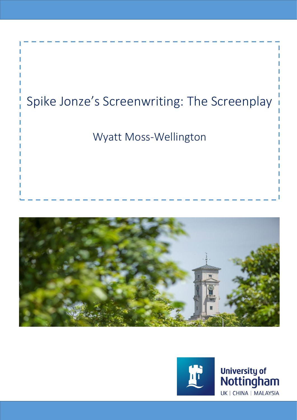





University of<br>Nottingham UK | CHINA | MALAYSIA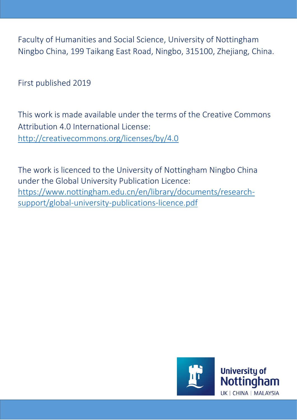Faculty of Humanities and Social Science, University of Nottingham Ningbo China, 199 Taikang East Road, Ningbo, 315100, Zhejiang, China.

First published 2019

This work is made available under the terms of the Creative Commons Attribution 4.0 International License: <http://creativecommons.org/licenses/by/4.0>

The work is licenced to the University of Nottingham Ningbo China under the Global University Publication Licence: [https://www.nottingham.edu.cn/en/library/documents/research](https://www.nottingham.edu.cn/en/library/documents/research-support/global-university-publications-licence.pdf)[support/global-university-publications-licence.pdf](https://www.nottingham.edu.cn/en/library/documents/research-support/global-university-publications-licence.pdf)

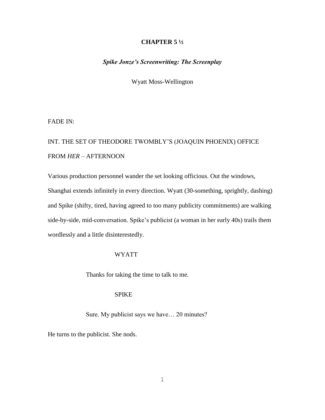## **CHAPTER 5 ½**

## *Spike Jonze's Screenwriting: The Screenplay*

Wyatt Moss-Wellington

FADE IN:

## INT. THE SET OF THEODORE TWOMBLY'S (JOAQUIN PHOENIX) OFFICE FROM *HER* – AFTERNOON

Various production personnel wander the set looking officious. Out the windows, Shanghai extends infinitely in every direction. Wyatt (30-something, sprightly, dashing) and Spike (shifty, tired, having agreed to too many publicity commitments) are walking side-by-side, mid-conversation. Spike's publicist (a woman in her early 40s) trails them wordlessly and a little disinterestedly.

## WYATT

Thanks for taking the time to talk to me.

## SPIKE

Sure. My publicist says we have… 20 minutes?

He turns to the publicist. She nods.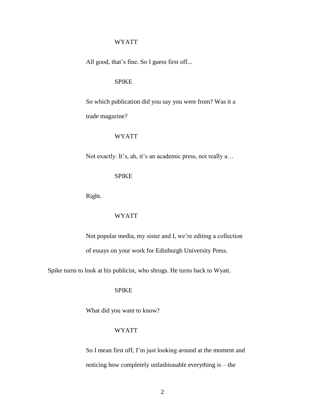All good, that's fine. So I guess first off...

## SPIKE

So which publication did you say you were from? Was it a trade magazine?

#### WYATT

Not exactly. It's, ah, it's an academic press, not really a…

## SPIKE

Right.

## WYATT

Not popular media, my sister and I, we're editing a collection of essays on your work for Edinburgh University Press.

Spike turns to look at his publicist, who shrugs. He turns back to Wyatt.

## SPIKE

What did you want to know?

## WYATT

So I mean first off, I'm just looking around at the moment and noticing how completely unfashionable everything is – the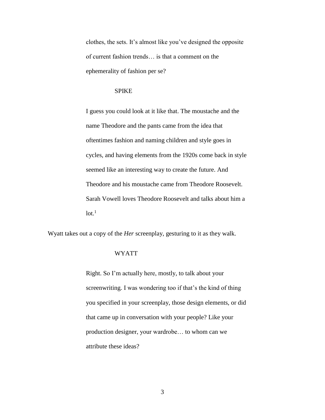clothes, the sets. It's almost like you've designed the opposite of current fashion trends… is that a comment on the ephemerality of fashion per se?

### SPIKE

I guess you could look at it like that. The moustache and the name Theodore and the pants came from the idea that oftentimes fashion and naming children and style goes in cycles, and having elements from the 1920s come back in style seemed like an interesting way to create the future. And Theodore and his moustache came from Theodore Roosevelt. Sarah Vowell loves Theodore Roosevelt and talks about him a  $lot.<sup>1</sup>$ 

Wyatt takes out a copy of the *Her* screenplay, gesturing to it as they walk.

#### WYATT

Right. So I'm actually here, mostly, to talk about your screenwriting. I was wondering too if that's the kind of thing you specified in your screenplay, those design elements, or did that came up in conversation with your people? Like your production designer, your wardrobe… to whom can we attribute these ideas?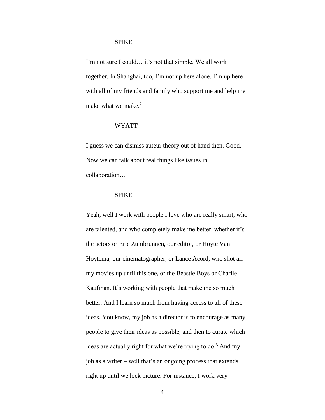#### SPIKE

I'm not sure I could… it's not that simple. We all work together. In Shanghai, too, I'm not up here alone. I'm up here with all of my friends and family who support me and help me make what we make. $2$ 

## WYATT

I guess we can dismiss auteur theory out of hand then. Good. Now we can talk about real things like issues in collaboration…

#### SPIKE

Yeah, well I work with people I love who are really smart, who are talented, and who completely make me better, whether it's the actors or Eric Zumbrunnen, our editor, or Hoyte Van Hoytema, our cinematographer, or Lance Acord, who shot all my movies up until this one, or the Beastie Boys or Charlie Kaufman. It's working with people that make me so much better. And I learn so much from having access to all of these ideas. You know, my job as a director is to encourage as many people to give their ideas as possible, and then to curate which ideas are actually right for what we're trying to  $\delta$ .<sup>3</sup> And my job as a writer – well that's an ongoing process that extends right up until we lock picture. For instance, I work very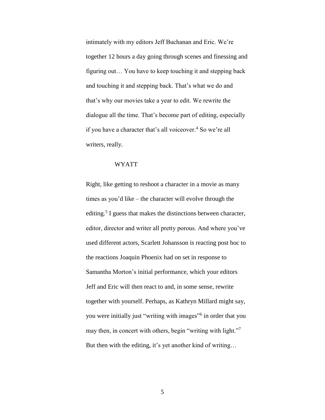intimately with my editors Jeff Buchanan and Eric. We're together 12 hours a day going through scenes and finessing and figuring out… You have to keep touching it and stepping back and touching it and stepping back. That's what we do and that's why our movies take a year to edit. We rewrite the dialogue all the time. That's become part of editing, especially if you have a character that's all voiceover.<sup>4</sup> So we're all writers, really.

#### WYATT

Right, like getting to reshoot a character in a movie as many times as you'd like – the character will evolve through the editing.<sup>5</sup> I guess that makes the distinctions between character, editor, director and writer all pretty porous. And where you've used different actors, Scarlett Johansson is reacting post hoc to the reactions Joaquin Phoenix had on set in response to Samantha Morton's initial performance, which your editors Jeff and Eric will then react to and, in some sense, rewrite together with yourself. Perhaps, as Kathryn Millard might say, you were initially just "writing with images"<sup>6</sup> in order that you may then, in concert with others, begin "writing with light."<sup>7</sup> But then with the editing, it's yet another kind of writing…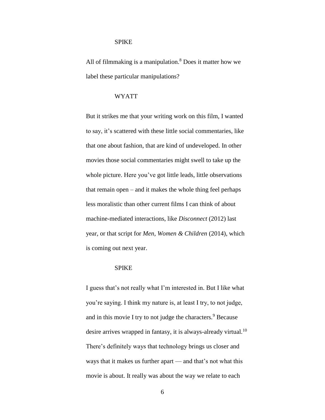#### SPIKE

All of filmmaking is a manipulation. $8$  Does it matter how we label these particular manipulations?

## WYATT

But it strikes me that your writing work on this film, I wanted to say, it's scattered with these little social commentaries, like that one about fashion, that are kind of undeveloped. In other movies those social commentaries might swell to take up the whole picture. Here you've got little leads, little observations that remain open – and it makes the whole thing feel perhaps less moralistic than other current films I can think of about machine-mediated interactions, like *Disconnect* (2012) last year, or that script for *Men, Women & Children* (2014), which is coming out next year.

#### SPIKE

I guess that's not really what I'm interested in. But I like what you're saying. I think my nature is, at least I try, to not judge, and in this movie I try to not judge the characters.<sup>9</sup> Because desire arrives wrapped in fantasy, it is always-already virtual.<sup>10</sup> There's definitely ways that technology brings us closer and ways that it makes us further apart — and that's not what this movie is about. It really was about the way we relate to each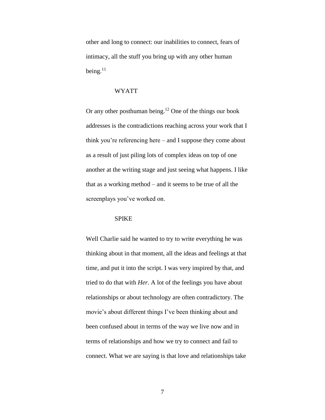other and long to connect: our inabilities to connect, fears of intimacy, all the stuff you bring up with any other human being. $^{11}$ 

#### WYATT

Or any other posthuman being.<sup>12</sup> One of the things our book addresses is the contradictions reaching across your work that I think you're referencing here – and I suppose they come about as a result of just piling lots of complex ideas on top of one another at the writing stage and just seeing what happens. I like that as a working method – and it seems to be true of all the screenplays you've worked on.

#### SPIKE

Well Charlie said he wanted to try to write everything he was thinking about in that moment, all the ideas and feelings at that time, and put it into the script. I was very inspired by that, and tried to do that with *Her*. A lot of the feelings you have about relationships or about technology are often contradictory. The movie's about different things I've been thinking about and been confused about in terms of the way we live now and in terms of relationships and how we try to connect and fail to connect. What we are saying is that love and relationships take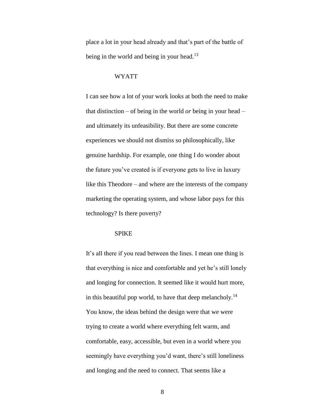place a lot in your head already and that's part of the battle of being in the world and being in your head.<sup>13</sup>

#### WYATT

I can see how a lot of your work looks at both the need to make that distinction – of being in the world *or* being in your head – and ultimately its unfeasibility. But there are some concrete experiences we should not dismiss so philosophically, like genuine hardship. For example, one thing I do wonder about the future you've created is if everyone gets to live in luxury like this Theodore – and where are the interests of the company marketing the operating system, and whose labor pays for this technology? Is there poverty?

#### SPIKE

It's all there if you read between the lines. I mean one thing is that everything is nice and comfortable and yet he's still lonely and longing for connection. It seemed like it would hurt more, in this beautiful pop world, to have that deep melancholy.<sup>14</sup> You know, the ideas behind the design were that we were trying to create a world where everything felt warm, and comfortable, easy, accessible, but even in a world where you seemingly have everything you'd want, there's still loneliness and longing and the need to connect. That seems like a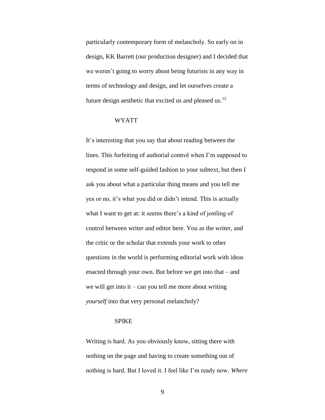particularly contemporary form of melancholy. So early on in design, KK Barrett (our production designer) and I decided that we weren't going to worry about being futurists in any way in terms of technology and design, and let ourselves create a future design aesthetic that excited us and pleased us.<sup>15</sup>

#### WYATT

It's interesting that you say that about reading between the lines. This forfeiting of authorial control when I'm supposed to respond in some self-guided fashion to your subtext, but then I ask you about what a particular thing means and you tell me yes or no, it's what you did or didn't intend. This is actually what I want to get at: it seems there's a kind of jostling of control between writer and editor here. You as the writer, and the critic or the scholar that extends your work to other questions in the world is performing editorial work with ideas enacted through your own. But before we get into that – and we will get into it – can you tell me more about writing *yourself* into that very personal melancholy?

## SPIKE

Writing is hard. As you obviously know, sitting there with nothing on the page and having to create something out of nothing is hard. But I loved it. I feel like I'm ready now. *Where*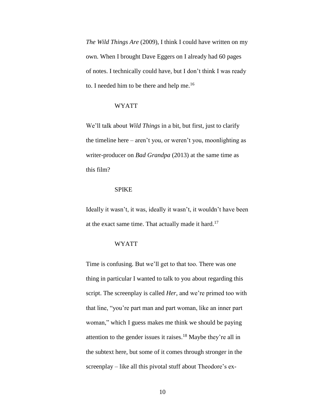*The Wild Things Are* (2009), I think I could have written on my own. When I brought Dave Eggers on I already had 60 pages of notes. I technically could have, but I don't think I was ready to. I needed him to be there and help me.<sup>16</sup>

## WYATT

We'll talk about *Wild Things* in a bit, but first, just to clarify the timeline here – aren't you, or weren't you, moonlighting as writer-producer on *Bad Grandpa* (2013) at the same time as this film?

## SPIKE

Ideally it wasn't, it was, ideally it wasn't, it wouldn't have been at the exact same time. That actually made it hard.<sup>17</sup>

#### WYATT

Time is confusing. But we'll get to that too. There was one thing in particular I wanted to talk to you about regarding this script. The screenplay is called *Her*, and we're primed too with that line, "you're part man and part woman, like an inner part woman," which I guess makes me think we should be paying attention to the gender issues it raises.<sup>18</sup> Maybe they're all in the subtext here, but some of it comes through stronger in the screenplay – like all this pivotal stuff about Theodore's ex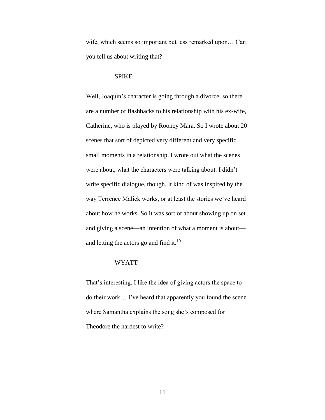wife, which seems so important but less remarked upon… Can you tell us about writing that?

#### SPIKE

Well, Joaquin's character is going through a divorce, so there are a number of flashbacks to his relationship with his ex-wife, Catherine, who is played by Rooney Mara. So I wrote about 20 scenes that sort of depicted very different and very specific small moments in a relationship. I wrote out what the scenes were about, what the characters were talking about. I didn't write specific dialogue, though. It kind of was inspired by the way Terrence Malick works, or at least the stories we've heard about how he works. So it was sort of about showing up on set and giving a scene—an intention of what a moment is about and letting the actors go and find it.<sup>19</sup>

## WYATT

That's interesting, I like the idea of giving actors the space to do their work… I've heard that apparently you found the scene where Samantha explains the song she's composed for Theodore the hardest to write?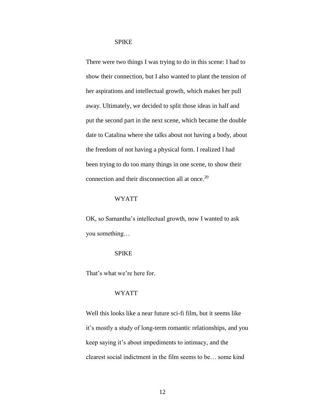#### SPIKE

There were two things I was trying to do in this scene: I had to show their connection, but I also wanted to plant the tension of her aspirations and intellectual growth, which makes her pull away. Ultimately, we decided to split those ideas in half and put the second part in the next scene, which became the double date to Catalina where she talks about not having a body, about the freedom of not having a physical form. I realized I had been trying to do too many things in one scene, to show their connection and their disconnection all at once.<sup>20</sup>

#### WYATT

OK, so Samantha's intellectual growth, now I wanted to ask you something…

#### SPIKE

That's what we're here for.

#### WYATT

Well this looks like a near future sci-fi film, but it seems like it's mostly a study of long-term romantic relationships, and you keep saying it's about impediments to intimacy, and the clearest social indictment in the film seems to be… some kind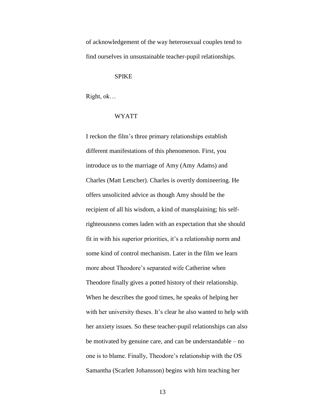of acknowledgement of the way heterosexual couples tend to find ourselves in unsustainable teacher-pupil relationships.

#### SPIKE

Right, ok…

#### WYATT

I reckon the film's three primary relationships establish different manifestations of this phenomenon. First, you introduce us to the marriage of Amy (Amy Adams) and Charles (Matt Letscher). Charles is overtly domineering. He offers unsolicited advice as though Amy should be the recipient of all his wisdom, a kind of mansplaining; his selfrighteousness comes laden with an expectation that she should fit in with his superior priorities, it's a relationship norm and some kind of control mechanism. Later in the film we learn more about Theodore's separated wife Catherine when Theodore finally gives a potted history of their relationship. When he describes the good times, he speaks of helping her with her university theses. It's clear he also wanted to help with her anxiety issues. So these teacher-pupil relationships can also be motivated by genuine care, and can be understandable – no one is to blame. Finally, Theodore's relationship with the OS Samantha (Scarlett Johansson) begins with him teaching her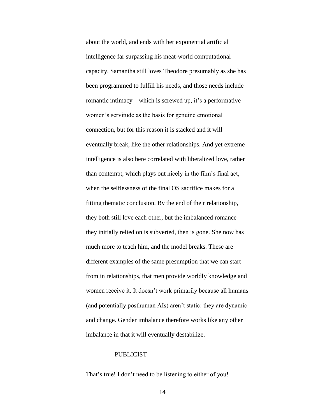about the world, and ends with her exponential artificial intelligence far surpassing his meat-world computational capacity. Samantha still loves Theodore presumably as she has been programmed to fulfill his needs, and those needs include romantic intimacy – which is screwed up, it's a performative women's servitude as the basis for genuine emotional connection, but for this reason it is stacked and it will eventually break, like the other relationships. And yet extreme intelligence is also here correlated with liberalized love, rather than contempt, which plays out nicely in the film's final act, when the selflessness of the final OS sacrifice makes for a fitting thematic conclusion. By the end of their relationship, they both still love each other, but the imbalanced romance they initially relied on is subverted, then is gone. She now has much more to teach him, and the model breaks. These are different examples of the same presumption that we can start from in relationships, that men provide worldly knowledge and women receive it. It doesn't work primarily because all humans (and potentially posthuman AIs) aren't static: they are dynamic and change. Gender imbalance therefore works like any other imbalance in that it will eventually destabilize.

## PUBLICIST

That's true! I don't need to be listening to either of you!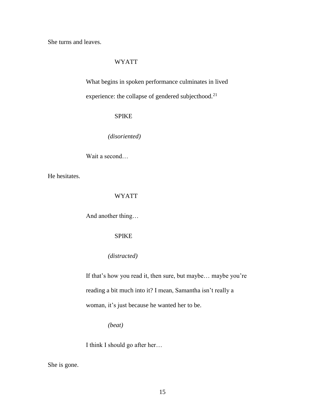She turns and leaves.

## WYATT

What begins in spoken performance culminates in lived experience: the collapse of gendered subjecthood.<sup>21</sup>

## SPIKE

*(disoriented)*

Wait a second…

He hesitates.

## WYATT

And another thing…

## SPIKE

## *(distracted)*

If that's how you read it, then sure, but maybe… maybe you're reading a bit much into it? I mean, Samantha isn't really a woman, it's just because he wanted her to be.

*(beat)*

I think I should go after her…

She is gone.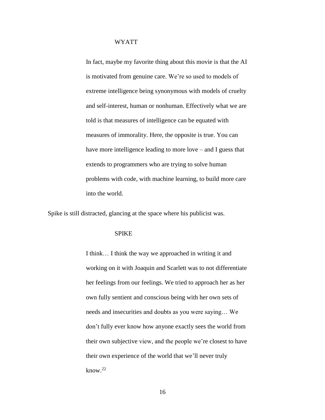In fact, maybe my favorite thing about this movie is that the AI is motivated from genuine care. We're so used to models of extreme intelligence being synonymous with models of cruelty and self-interest, human or nonhuman. Effectively what we are told is that measures of intelligence can be equated with measures of immorality. Here, the opposite is true. You can have more intelligence leading to more love – and I guess that extends to programmers who are trying to solve human problems with code, with machine learning, to build more care into the world.

Spike is still distracted, glancing at the space where his publicist was.

#### SPIKE

I think… I think the way we approached in writing it and working on it with Joaquin and Scarlett was to not differentiate her feelings from our feelings. We tried to approach her as her own fully sentient and conscious being with her own sets of needs and insecurities and doubts as you were saying… We don't fully ever know how anyone exactly sees the world from their own subjective view, and the people we're closest to have their own experience of the world that we'll never truly know. 22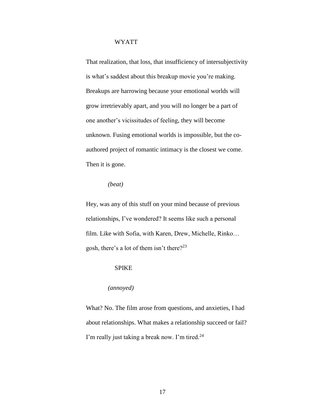That realization, that loss, that insufficiency of intersubjectivity is what's saddest about this breakup movie you're making. Breakups are harrowing because your emotional worlds will grow irretrievably apart, and you will no longer be a part of one another's vicissitudes of feeling, they will become unknown. Fusing emotional worlds is impossible, but the coauthored project of romantic intimacy is the closest we come. Then it is gone.

## *(beat)*

Hey, was any of this stuff on your mind because of previous relationships, I've wondered? It seems like such a personal film. Like with Sofia, with Karen, Drew, Michelle, Rinko… gosh, there's a lot of them isn't there?<sup>23</sup>

#### SPIKE

#### *(annoyed)*

What? No. The film arose from questions, and anxieties, I had about relationships. What makes a relationship succeed or fail? I'm really just taking a break now. I'm tired.<sup>24</sup>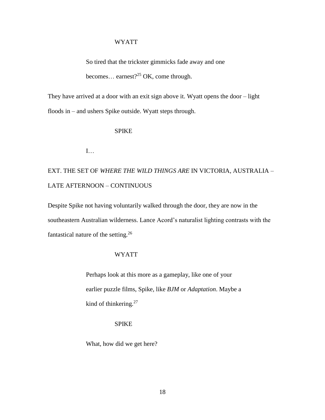So tired that the trickster gimmicks fade away and one becomes... earnest?<sup>25</sup> OK, come through.

They have arrived at a door with an exit sign above it. Wyatt opens the door – light floods in – and ushers Spike outside. Wyatt steps through.

## SPIKE

I…

EXT. THE SET OF *WHERE THE WILD THINGS ARE* IN VICTORIA, AUSTRALIA – LATE AFTERNOON – CONTINUOUS

Despite Spike not having voluntarily walked through the door, they are now in the southeastern Australian wilderness. Lance Acord's naturalist lighting contrasts with the fantastical nature of the setting. $26$ 

## WYATT

Perhaps look at this more as a gameplay, like one of your earlier puzzle films, Spike, like *BJM* or *Adaptation*. Maybe a kind of thinkering.<sup>27</sup>

## SPIKE

What, how did we get here?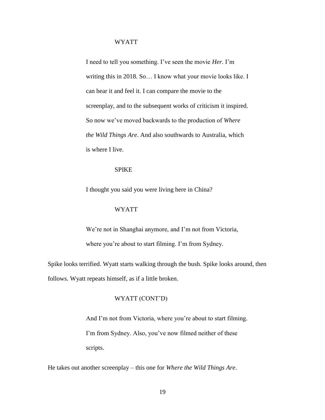I need to tell you something. I've seen the movie *Her*. I'm writing this in 2018. So… I know what your movie looks like. I can hear it and feel it. I can compare the movie to the screenplay, and to the subsequent works of criticism it inspired. So now we've moved backwards to the production of *Where the Wild Things Are*. And also southwards to Australia, which is where I live.

## SPIKE

I thought you said you were living here in China?

#### WYATT

We're not in Shanghai anymore, and I'm not from Victoria, where you're about to start filming. I'm from Sydney.

Spike looks terrified. Wyatt starts walking through the bush. Spike looks around, then follows. Wyatt repeats himself, as if a little broken.

## WYATT (CONT'D)

And I'm not from Victoria, where you're about to start filming. I'm from Sydney. Also, you've now filmed neither of these scripts.

He takes out another screenplay – this one for *Where the Wild Things Are*.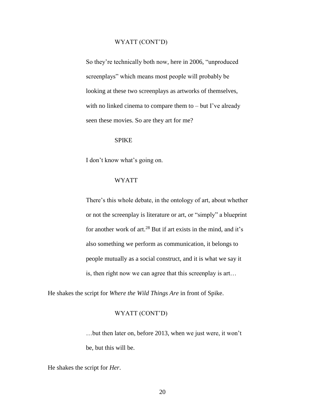#### WYATT (CONT'D)

So they're technically both now, here in 2006, "unproduced screenplays" which means most people will probably be looking at these two screenplays as artworks of themselves, with no linked cinema to compare them to – but I've already seen these movies. So are they art for me?

#### SPIKE

I don't know what's going on.

#### WYATT

There's this whole debate, in the ontology of art, about whether or not the screenplay is literature or art, or "simply" a blueprint for another work of art.<sup>28</sup> But if art exists in the mind, and it's also something we perform as communication, it belongs to people mutually as a social construct, and it is what we say it is, then right now we can agree that this screenplay is art…

He shakes the script for *Where the Wild Things Are* in front of Spike.

## WYATT (CONT'D)

…but then later on, before 2013, when we just were, it won't be, but this will be.

He shakes the script for *Her*.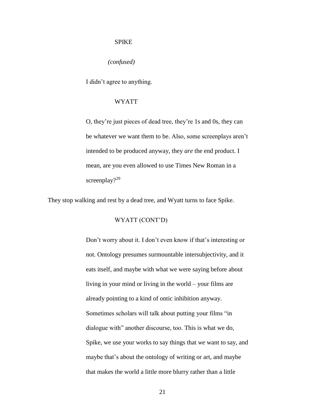#### SPIKE

*(confused)*

I didn't agree to anything.

#### WYATT

O, they're just pieces of dead tree, they're 1s and 0s, they can be whatever we want them to be. Also, some screenplays aren't intended to be produced anyway, they *are* the end product. I mean, are you even allowed to use Times New Roman in a screenplay?<sup>29</sup>

They stop walking and rest by a dead tree, and Wyatt turns to face Spike.

#### WYATT (CONT'D)

Don't worry about it. I don't even know if that's interesting or not. Ontology presumes surmountable intersubjectivity, and it eats itself, and maybe with what we were saying before about living in your mind or living in the world – your films are already pointing to a kind of ontic inhibition anyway. Sometimes scholars will talk about putting your films "in dialogue with" another discourse, too. This is what we do, Spike, we use your works to say things that *we* want to say, and maybe that's about the ontology of writing or art, and maybe that makes the world a little more blurry rather than a little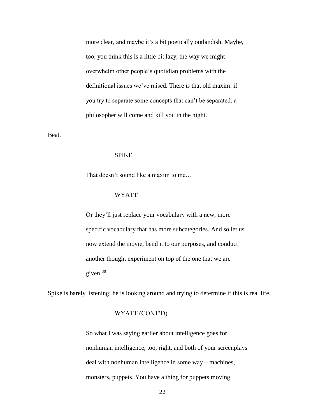more clear, and maybe it's a bit poetically outlandish. Maybe, too, you think this is a little bit lazy, the way we might overwhelm other people's quotidian problems with the definitional issues we've raised. There *is* that old maxim: if you try to separate some concepts that can't be separated, a philosopher will come and kill you in the night.

Beat.

#### SPIKE

That doesn't sound like a maxim to me…

#### WYATT

Or they'll just replace your vocabulary with a new, more specific vocabulary that has more subcategories. And so let us now extend the movie, bend it to our purposes, and conduct another thought experiment on top of the one that we are given.<sup>30</sup>

Spike is barely listening; he is looking around and trying to determine if this is real life.

#### WYATT (CONT'D)

So what I was saying earlier about intelligence goes for nonhuman intelligence, too, right, and both of your screenplays deal with nonhuman intelligence in some way – machines, monsters, puppets. You have a thing for puppets moving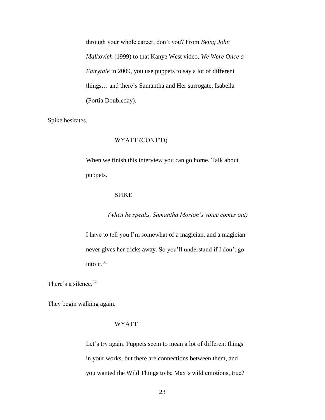through your whole career, don't you? From *Being John Malkovich* (1999) to that Kanye West video, *We Were Once a Fairytale* in 2009, you use puppets to say a lot of different things… and there's Samantha and Her surrogate, Isabella (Portia Doubleday).

Spike hesitates.

#### WYATT (CONT'D)

When we finish this interview you can go home. Talk about puppets.

#### SPIKE

*(when he speaks, Samantha Morton's voice comes out)*

I have to tell you I'm somewhat of a magician, and a magician never gives her tricks away. So you'll understand if I don't go into it. $31$ 

There's a silence.<sup>32</sup>

They begin walking again.

## WYATT

Let's try again. Puppets seem to mean a lot of different things in your works, but there are connections between them, and you wanted the Wild Things to be Max's wild emotions, true?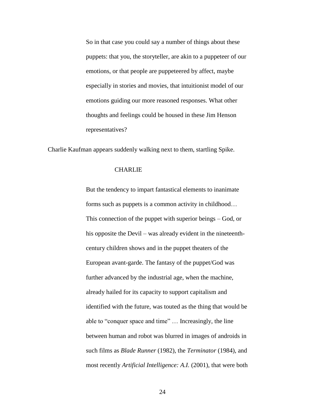So in that case you could say a number of things about these puppets: that you, the storyteller, are akin to a puppeteer of our emotions, or that people are puppeteered by affect, maybe especially in stories and movies, that intuitionist model of our emotions guiding our more reasoned responses. What other thoughts and feelings could be housed in these Jim Henson representatives?

Charlie Kaufman appears suddenly walking next to them, startling Spike.

## **CHARLIE**

But the tendency to impart fantastical elements to inanimate forms such as puppets is a common activity in childhood… This connection of the puppet with superior beings – God, or his opposite the Devil – was already evident in the nineteenthcentury children shows and in the puppet theaters of the European avant-garde. The fantasy of the puppet/God was further advanced by the industrial age, when the machine, already hailed for its capacity to support capitalism and identified with the future, was touted as the thing that would be able to "conquer space and time" … Increasingly, the line between human and robot was blurred in images of androids in such films as *Blade Runner* (1982), the *Terminator* (1984), and most recently *Artificial Intelligence: A.I.* (2001), that were both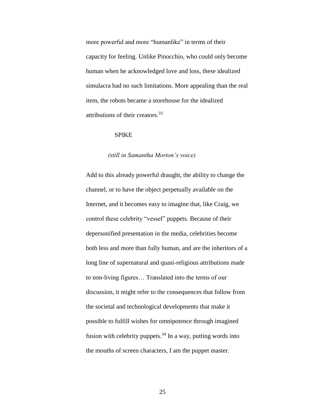more powerful and more "humanlike" in terms of their capacity for feeling. Unlike Pinocchio, who could only become human when he acknowledged love and loss, these idealized simulacra had no such limitations. More appealing than the real item, the robots became a storehouse for the idealized attributions of their creators.<sup>33</sup>

## SPIKE

#### *(still in Samantha Morton's voice)*

Add to this already powerful draught, the ability to change the channel, or to have the object perpetually available on the Internet, and it becomes easy to imagine that, like Craig, we control these celebrity "vessel" puppets. Because of their depersonified presentation in the media, celebrities become both less and more than fully human, and are the inheritors of a long line of supernatural and quasi-religious attributions made to non-living figures… Translated into the terms of our discussion, it might refer to the consequences that follow from the societal and technological developments that make it possible to fulfill wishes for omnipotence through imagined fusion with celebrity puppets.<sup>34</sup> In a way, putting words into the mouths of screen characters, I am the puppet master.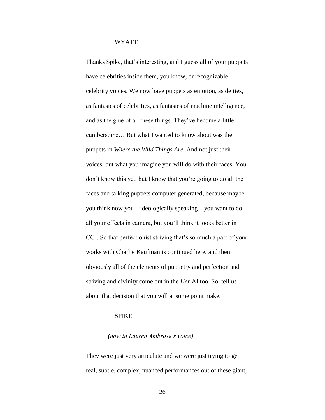Thanks Spike, that's interesting, and I guess all of your puppets have celebrities inside them, you know, or recognizable celebrity voices. We now have puppets as emotion, as deities, as fantasies of celebrities, as fantasies of machine intelligence, and as the glue of all these things. They've become a little cumbersome… But what I wanted to know about was the puppets in *Where the Wild Things Are*. And not just their voices, but what you imagine you will do with their faces. You don't know this yet, but I know that you're going to do all the faces and talking puppets computer generated, because maybe you think now you – ideologically speaking – you want to do all your effects in camera, but you'll think it looks better in CGI. So that perfectionist striving that's so much a part of your works with Charlie Kaufman is continued here, and then obviously all of the elements of puppetry and perfection and striving and divinity come out in the *Her* AI too. So, tell us about that decision that you will at some point make.

## SPIKE

#### *(now in Lauren Ambrose's voice)*

They were just very articulate and we were just trying to get real, subtle, complex, nuanced performances out of these giant,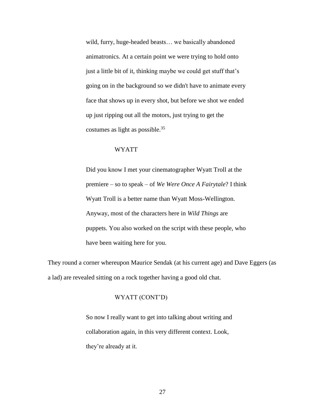wild, furry, huge-headed beasts… we basically abandoned animatronics. At a certain point we were trying to hold onto just a little bit of it, thinking maybe we could get stuff that's going on in the background so we didn't have to animate every face that shows up in every shot, but before we shot we ended up just ripping out all the motors, just trying to get the costumes as light as possible.<sup>35</sup>

## WYATT

Did you know I met your cinematographer Wyatt Troll at the premiere – so to speak – of *We Were Once A Fairytale*? I think Wyatt Troll is a better name than Wyatt Moss-Wellington. Anyway, most of the characters here in *Wild Things* are puppets. You also worked on the script with these people, who have been waiting here for you.

They round a corner whereupon Maurice Sendak (at his current age) and Dave Eggers (as a lad) are revealed sitting on a rock together having a good old chat.

## WYATT (CONT'D)

So now I really want to get into talking about writing and collaboration again, in this very different context. Look, they're already at it.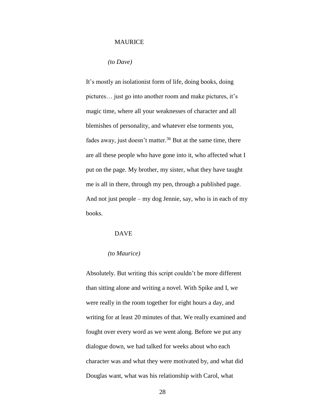#### MAURICE

*(to Dave)*

It's mostly an isolationist form of life, doing books, doing pictures… just go into another room and make pictures, it's magic time, where all your weaknesses of character and all blemishes of personality, and whatever else torments you, fades away, just doesn't matter.<sup>36</sup> But at the same time, there are all these people who have gone into it, who affected what I put on the page. My brother, my sister, what they have taught me is all in there, through my pen, through a published page. And not just people – my dog Jennie, say, who is in each of my books.

## DAVE

## *(to Maurice)*

Absolutely. But writing this script couldn't be more different than sitting alone and writing a novel. With Spike and I, we were really in the room together for eight hours a day, and writing for at least 20 minutes of that. We really examined and fought over every word as we went along. Before we put any dialogue down, we had talked for weeks about who each character was and what they were motivated by, and what did Douglas want, what was his relationship with Carol, what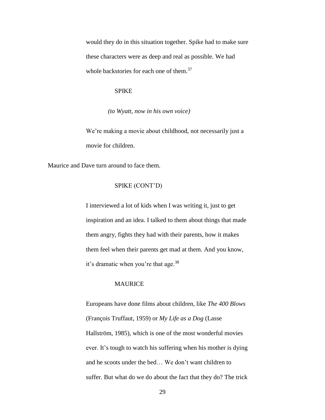would they do in this situation together. Spike had to make sure these characters were as deep and real as possible. We had whole backstories for each one of them.<sup>37</sup>

### SPIKE

*(to Wyatt, now in his own voice)*

We're making a movie about childhood, not necessarily just a movie for children.

Maurice and Dave turn around to face them.

## SPIKE (CONT'D)

I interviewed a lot of kids when I was writing it, just to get inspiration and an idea. I talked to them about things that made them angry, fights they had with their parents, how it makes them feel when their parents get mad at them. And you know, it's dramatic when you're that age.<sup>38</sup>

## **MAURICE**

Europeans have done films about children, like *The 400 Blows* (François Truffaut, 1959) or *My Life as a Dog* (Lasse Hallström, 1985), which is one of the most wonderful movies ever. It's tough to watch his suffering when his mother is dying and he scoots under the bed… We don't want children to suffer. But what do we do about the fact that they do? The trick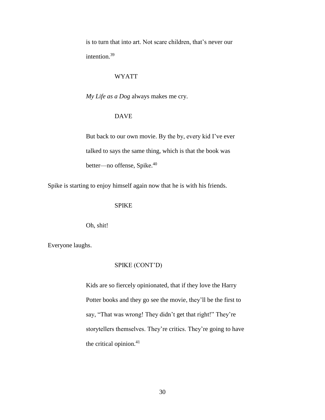is to turn that into art. Not scare children, that's never our intention.<sup>39</sup>

### WYATT

*My Life as a Dog* always makes me cry.

## DAVE

But back to our own movie. By the by, every kid I've ever talked to says the same thing, which is that the book was better—no offense, Spike.<sup>40</sup>

Spike is starting to enjoy himself again now that he is with his friends.

#### SPIKE

Oh, shit!

Everyone laughs.

## SPIKE (CONT'D)

Kids are so fiercely opinionated, that if they love the Harry Potter books and they go see the movie, they'll be the first to say, "That was wrong! They didn't get that right!" They're storytellers themselves. They're critics. They're going to have the critical opinion.<sup>41</sup>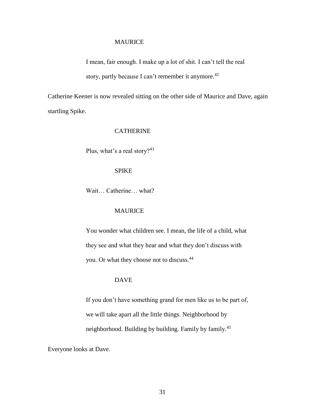#### MAURICE

I mean, fair enough. I make up a lot of shit. I can't tell the real story, partly because I can't remember it anymore.<sup>42</sup>

Catherine Keener is now revealed sitting on the other side of Maurice and Dave, again startling Spike.

## CATHERINE

Plus, what's a real story?<sup>43</sup>

#### SPIKE

Wait… Catherine… what?

## MAURICE

You wonder what children see. I mean, the life of a child, what they see and what they hear and what they don't discuss with you. Or what they choose not to discuss.<sup>44</sup>

## DAVE

If you don't have something grand for men like us to be part of, we will take apart all the little things. Neighborhood by neighborhood. Building by building. Family by family.<sup>45</sup>

Everyone looks at Dave.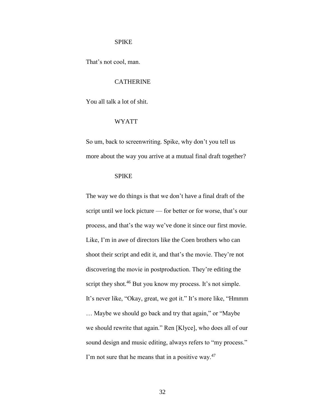#### SPIKE

That's not cool, man.

## **CATHERINE**

You all talk a lot of shit.

#### WYATT

So um, back to screenwriting. Spike, why don't you tell us more about the way you arrive at a mutual final draft together?

## SPIKE

The way we do things is that we don't have a final draft of the script until we lock picture — for better or for worse, that's our process, and that's the way we've done it since our first movie. Like, I'm in awe of directors like the Coen brothers who can shoot their script and edit it, and that's the movie. They're not discovering the movie in postproduction. They're editing the script they shot.<sup>46</sup> But you know my process. It's not simple. It's never like, "Okay, great, we got it." It's more like, "Hmmm … Maybe we should go back and try that again," or "Maybe we should rewrite that again." Ren [Klyce], who does all of our sound design and music editing, always refers to "my process." I'm not sure that he means that in a positive way. $47$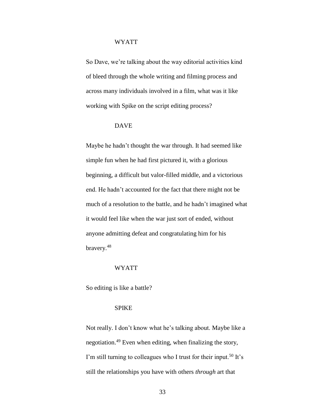So Dave, we're talking about the way editorial activities kind of bleed through the whole writing and filming process and across many individuals involved in a film, what was it like working with Spike on the script editing process?

## DAVE

Maybe he hadn't thought the war through. It had seemed like simple fun when he had first pictured it, with a glorious beginning, a difficult but valor-filled middle, and a victorious end. He hadn't accounted for the fact that there might not be much of a resolution to the battle, and he hadn't imagined what it would feel like when the war just sort of ended, without anyone admitting defeat and congratulating him for his bravery.<sup>48</sup>

#### WYATT

So editing is like a battle?

## SPIKE

Not really. I don't know what he's talking about. Maybe like a negotiation.<sup>49</sup> Even when editing, when finalizing the story, I'm still turning to colleagues who I trust for their input.<sup>50</sup> It's still the relationships you have with others *through* art that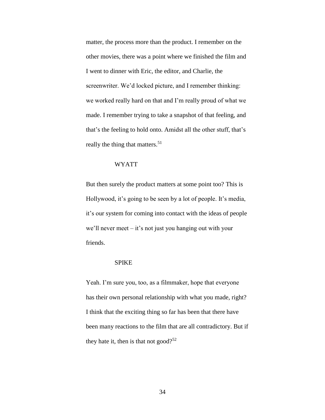matter, the process more than the product. I remember on the other movies, there was a point where we finished the film and I went to dinner with Eric, the editor, and Charlie, the screenwriter. We'd locked picture, and I remember thinking: we worked really hard on that and I'm really proud of what we made. I remember trying to take a snapshot of that feeling, and that's the feeling to hold onto. Amidst all the other stuff, that's really the thing that matters.<sup>51</sup>

## WYATT

But then surely the product matters at some point too? This is Hollywood, it's going to be seen by a lot of people. It's media, it's our system for coming into contact with the ideas of people we'll never meet – it's not just you hanging out with your friends.

## SPIKE

Yeah. I'm sure you, too, as a filmmaker, hope that everyone has their own personal relationship with what you made, right? I think that the exciting thing so far has been that there have been many reactions to the film that are all contradictory. But if they hate it, then is that not good?<sup>52</sup>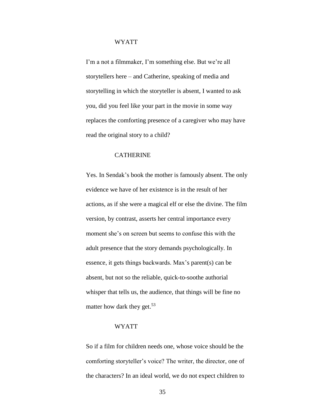I'm a not a filmmaker, I'm something else. But we're all storytellers here – and Catherine, speaking of media and storytelling in which the storyteller is absent, I wanted to ask you, did you feel like your part in the movie in some way replaces the comforting presence of a caregiver who may have read the original story to a child?

## **CATHERINE**

Yes. In Sendak's book the mother is famously absent. The only evidence we have of her existence is in the result of her actions, as if she were a magical elf or else the divine. The film version, by contrast, asserts her central importance every moment she's on screen but seems to confuse this with the adult presence that the story demands psychologically. In essence, it gets things backwards. Max's parent(s) can be absent, but not so the reliable, quick-to-soothe authorial whisper that tells us, the audience, that things will be fine no matter how dark they get.<sup>53</sup>

#### WYATT

So if a film for children needs one, whose voice should be the comforting storyteller's voice? The writer, the director, one of the characters? In an ideal world, we do not expect children to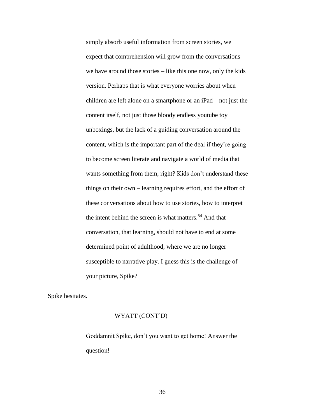simply absorb useful information from screen stories, we expect that comprehension will grow from the conversations we have around those stories – like this one now, only the kids version. Perhaps that is what everyone worries about when children are left alone on a smartphone or an iPad – not just the content itself, not just those bloody endless youtube toy unboxings, but the lack of a guiding conversation around the content, which is the important part of the deal if they're going to become screen literate and navigate a world of media that wants something from them, right? Kids don't understand these things on their own – learning requires effort, and the effort of these conversations about how to use stories, how to interpret the intent behind the screen is what matters.<sup>54</sup> And that conversation, that learning, should not have to end at some determined point of adulthood, where we are no longer susceptible to narrative play. I guess this is the challenge of your picture, Spike?

Spike hesitates.

#### WYATT (CONT'D)

Goddamnit Spike, don't you want to get home! Answer the question!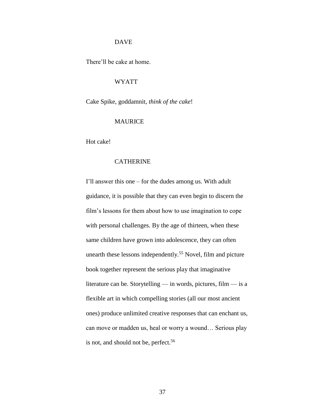#### DAVE

There'll be cake at home.

## WYATT

Cake Spike, goddamnit, *think of the cake*!

#### MAURICE

Hot cake!

## **CATHERINE**

I'll answer this one – for the dudes among us. With adult guidance, it is possible that they can even begin to discern the film's lessons for them about how to use imagination to cope with personal challenges. By the age of thirteen, when these same children have grown into adolescence, they can often unearth these lessons independently.<sup>55</sup> Novel, film and picture book together represent the serious play that imaginative literature can be. Storytelling — in words, pictures, film — is a flexible art in which compelling stories (all our most ancient ones) produce unlimited creative responses that can enchant us, can move or madden us, heal or worry a wound… Serious play is not, and should not be, perfect.<sup>56</sup>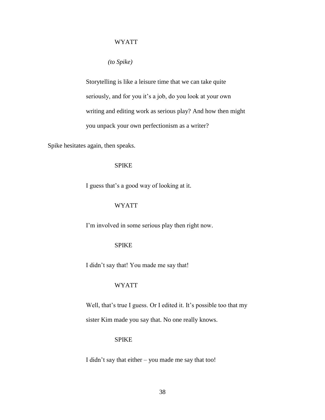*(to Spike)*

Storytelling is like a leisure time that we can take quite seriously, and for you it's a job, do you look at your own writing and editing work as serious play? And how then might you unpack your own perfectionism as a writer?

Spike hesitates again, then speaks.

#### SPIKE

I guess that's a good way of looking at it.

## WYATT

I'm involved in some serious play then right now.

## SPIKE

I didn't say that! You made me say that!

#### WYATT

Well, that's true I guess. Or I edited it. It's possible too that my sister Kim made you say that. No one really knows.

## SPIKE

I didn't say that either – you made me say that too!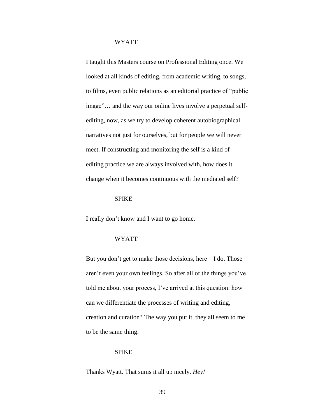I taught this Masters course on Professional Editing once. We looked at all kinds of editing, from academic writing, to songs, to films, even public relations as an editorial practice of "public image"… and the way our online lives involve a perpetual selfediting, now, as we try to develop coherent autobiographical narratives not just for ourselves, but for people we will never meet. If constructing and monitoring the self is a kind of editing practice we are always involved with, how does it change when it becomes continuous with the mediated self?

#### SPIKE

I really don't know and I want to go home.

#### WYATT

But you don't get to make those decisions, here – I do. Those aren't even your own feelings. So after all of the things you've told me about your process, I've arrived at this question: how can we differentiate the processes of writing and editing, creation and curation? The way you put it, they all seem to me to be the same thing.

#### SPIKE

Thanks Wyatt. That sums it all up nicely. *Hey!*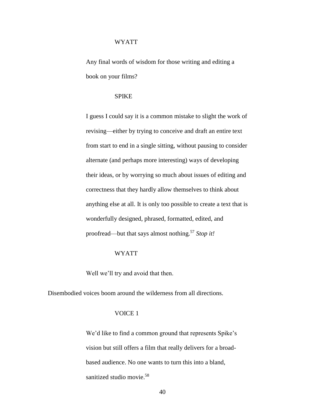Any final words of wisdom for those writing and editing a book on your films?

## SPIKE

I guess I could say it is a common mistake to slight the work of revising—either by trying to conceive and draft an entire text from start to end in a single sitting, without pausing to consider alternate (and perhaps more interesting) ways of developing their ideas, or by worrying so much about issues of editing and correctness that they hardly allow themselves to think about anything else at all. It is only too possible to create a text that is wonderfully designed, phrased, formatted, edited, and proofread—but that says almost nothing.<sup>57</sup> *Stop it!*

#### WYATT

Well we'll try and avoid that then.

Disembodied voices boom around the wilderness from all directions.

## VOICE 1

We'd like to find a common ground that represents Spike's vision but still offers a film that really delivers for a broadbased audience. No one wants to turn this into a bland, sanitized studio movie. 58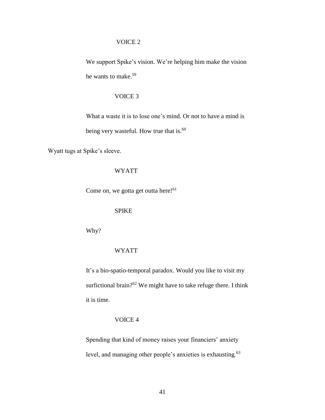## VOICE 2

We support Spike's vision. We're helping him make the vision he wants to make.<sup>59</sup>

## VOICE 3

What a waste it is to lose one's mind. Or not to have a mind is

being very wasteful. How true that is.<sup>60</sup>

Wyatt tugs at Spike's sleeve.

## WYATT

Come on, we gotta get outta here!<sup>61</sup>

## SPIKE

Why?

## WYATT

It's a bio-spatio-temporal paradox. Would you like to visit my surfictional brain? $62$  We might have to take refuge there. I think it is time.

## VOICE 4

Spending that kind of money raises your financiers' anxiety level, and managing other people's anxieties is exhausting.<sup>63</sup>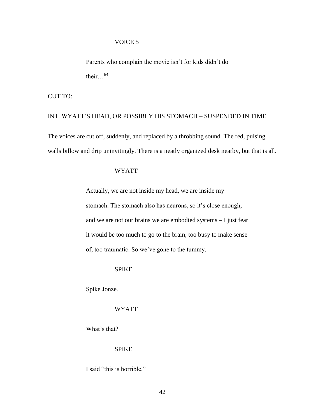#### VOICE 5

Parents who complain the movie isn't for kids didn't do their. $.64$ 

CUT TO:

# INT. WYATT'S HEAD, OR POSSIBLY HIS STOMACH – SUSPENDED IN TIME The voices are cut off, suddenly, and replaced by a throbbing sound. The red, pulsing

walls billow and drip uninvitingly. There is a neatly organized desk nearby, but that is all.

## WYATT

Actually, we are not inside my head, we are inside my stomach. The stomach also has neurons, so it's close enough, and we are not our brains we are embodied systems – I just fear it would be too much to go to the brain, too busy to make sense of, too traumatic. So we've gone to the tummy.

#### **SPIKE**

Spike Jonze.

## WYATT

What's that?

#### SPIKE

I said "this is horrible."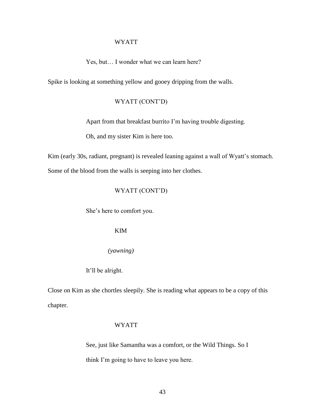Yes, but… I wonder what we can learn here?

Spike is looking at something yellow and gooey dripping from the walls.

## WYATT (CONT'D)

Apart from that breakfast burrito I'm having trouble digesting.

Oh, and my sister Kim is here too.

Kim (early 30s, radiant, pregnant) is revealed leaning against a wall of Wyatt's stomach.

Some of the blood from the walls is seeping into her clothes.

## WYATT (CONT'D)

She's here to comfort you.

## KIM

*(yawning)*

## It'll be alright.

Close on Kim as she chortles sleepily. She is reading what appears to be a copy of this chapter.

#### WYATT

See, just like Samantha was a comfort, or the Wild Things. So I think I'm going to have to leave you here.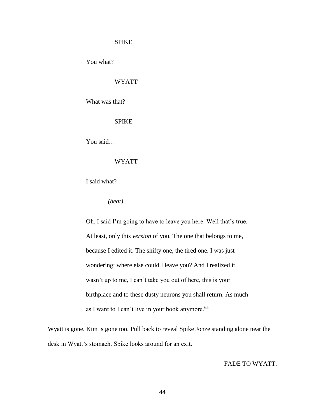## SPIKE

You what?

## WYATT

What was that?

SPIKE

You said…

## WYATT

I said what?

*(beat)*

Oh, I said I'm going to have to leave you here. Well that's true. At least, only this *version* of you. The one that belongs to me, because I edited it. The shifty one, the tired one. I was just wondering: where else could I leave you? And I realized it wasn't up to me, I can't take you out of here, this is your birthplace and to these dusty neurons you shall return. As much as I want to I can't live in your book anymore.<sup>65</sup>

Wyatt is gone. Kim is gone too. Pull back to reveal Spike Jonze standing alone near the desk in Wyatt's stomach. Spike looks around for an exit.

FADE TO WYATT.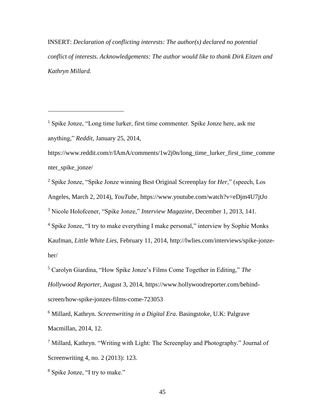INSERT: *Declaration of conflicting interests: The author(s) declared no potential conflict of interests. Acknowledgements: The author would like to thank Dirk Eitzen and Kathryn Millard.*

<sup>1</sup> Spike Jonze, "Long time lurker, first time commenter. Spike Jonze here, ask me anything," *Reddit*, January 25, 2014,

https://www.reddit.com/r/IAmA/comments/1w2j0n/long\_time\_lurker\_first\_time\_comme nter spike jonze/

 Spike Jonze, "Spike Jonze winning Best Original Screenplay for *Her*," (speech, Los Angeles, March 2, 2014), *YouTube*, https://www.youtube.com/watch?v=eDjm4U7jtJo Nicole Holofcener, "Spike Jonze," *Interview Magazine*, December 1, 2013, 141. Spike Jonze, "I try to make everything I make personal," interview by Sophie Monks

Kaufman, *Little White Lies*, February 11, 2014, http://lwlies.com/interviews/spike-jonzeher/

<sup>5</sup> Carolyn Giardina, "How Spike Jonze's Films Come Together in Editing," *The Hollywood Reporter*, August 3, 2014, https://www.hollywoodreporter.com/behindscreen/how-spike-jonzes-films-come-723053

<sup>6</sup> Millard, Kathryn. *Screenwriting in a Digital Era*. Basingstoke, U.K: Palgrave Macmillan, 2014, 12.

<sup>7</sup> Millard, Kathryn. "Writing with Light: The Screenplay and Photography." Journal of Screenwriting 4, no. 2 (2013): 123.

<sup>8</sup> Spike Jonze, "I try to make."

a<br>B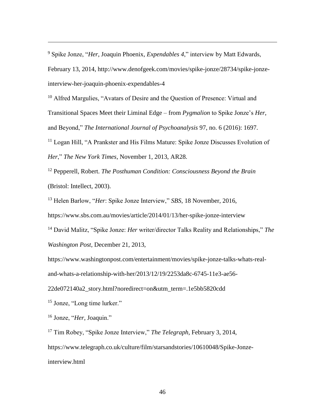<sup>9</sup> Spike Jonze, "*Her*, Joaquin Phoenix, *Expendables 4*," interview by Matt Edwards, February 13, 2014, http://www.denofgeek.com/movies/spike-jonze/28734/spike-jonzeinterview-her-joaquin-phoenix-expendables-4

<sup>10</sup> Alfred Margulies, "Avatars of Desire and the Question of Presence: Virtual and Transitional Spaces Meet their Liminal Edge – from *Pygmalion* to Spike Jonze's *Her*, and Beyond," *The International Journal of Psychoanalysis* 97, no. 6 (2016): 1697.

<sup>11</sup> Logan Hill, "A Prankster and His Films Mature: Spike Jonze Discusses Evolution of *Her*," *The New York Times*, November 1, 2013, AR28.

<sup>12</sup> Pepperell, Robert. *The Posthuman Condition: Consciousness Beyond the Brain* (Bristol: Intellect, 2003).

<sup>13</sup> Helen Barlow, "*Her*: Spike Jonze Interview," *SBS*, 18 November, 2016,

https://www.sbs.com.au/movies/article/2014/01/13/her-spike-jonze-interview

<sup>14</sup> David Malitz, "Spike Jonze: *Her* writer/director Talks Reality and Relationships," *The Washington Post*, December 21, 2013,

https://www.washingtonpost.com/entertainment/movies/spike-jonze-talks-whats-real-

and-whats-a-relationship-with-her/2013/12/19/2253da8c-6745-11e3-ae56-

22de072140a2\_story.html?noredirect=on&utm\_term=.1e5bb5820cdd

<sup>15</sup> Jonze, "Long time lurker."

<sup>16</sup> Jonze, "*Her*, Joaquin."

a<br>B

<sup>17</sup> Tim Robey, "Spike Jonze Interview," *The Telegraph*, February 3, 2014, https://www.telegraph.co.uk/culture/film/starsandstories/10610048/Spike-Jonzeinterview.html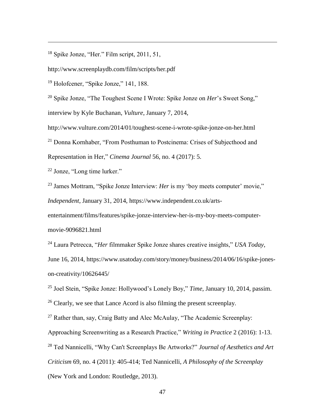<sup>18</sup> Spike Jonze, "Her." Film script, 2011, 51,

http://www.screenplaydb.com/film/scripts/her.pdf

<sup>19</sup> Holofcener, "Spike Jonze," 141, 188.

a<br>B

<sup>20</sup> Spike Jonze, "The Toughest Scene I Wrote: Spike Jonze on *Her*'s Sweet Song," interview by Kyle Buchanan, *Vulture*, January 7, 2014,

http://www.vulture.com/2014/01/toughest-scene-i-wrote-spike-jonze-on-her.html <sup>21</sup> Donna Kornhaber, "From Posthuman to Postcinema: Crises of Subjecthood and

Representation in Her," *Cinema Journal* 56, no. 4 (2017): 5.

<sup>22</sup> Jonze, "Long time lurker."

<sup>23</sup> James Mottram, "Spike Jonze Interview: *Her* is my 'boy meets computer' movie," *Independent*, January 31, 2014, https://www.independent.co.uk/arts-

entertainment/films/features/spike-jonze-interview-her-is-my-boy-meets-computermovie-9096821.html

<sup>24</sup> Laura Petrecca, "*Her* filmmaker Spike Jonze shares creative insights," *USA Today*, June 16, 2014, https://www.usatoday.com/story/money/business/2014/06/16/spike-jones-

on-creativity/10626445/

<sup>25</sup> Joel Stein, "Spike Jonze: Hollywood's Lonely Boy," *Time*, January 10, 2014, passim.

 $26$  Clearly, we see that Lance Acord is also filming the present screenplay.

 $27$  Rather than, say, Craig Batty and Alec McAulay, "The Academic Screenplay: Approaching Screenwriting as a Research Practice," *Writing in Practice* 2 (2016): 1-13. <sup>28</sup> Ted Nannicelli, "Why Can't Screenplays Be Artworks?" *Journal of Aesthetics and Art Criticism* 69, no. 4 (2011): 405-414; Ted Nannicelli, *A Philosophy of the Screenplay* (New York and London: Routledge, 2013).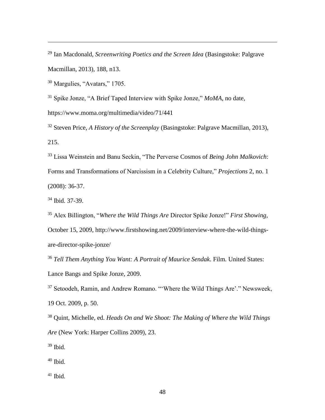<sup>29</sup> Ian Macdonald, *Screenwriting Poetics and the Screen Idea* (Basingstoke: Palgrave Macmillan, 2013), 188, n13.

<sup>30</sup> Margulies, "Avatars," 1705.

a<br>B

<sup>31</sup> Spike Jonze, "A Brief Taped Interview with Spike Jonze," *MoMA*, no date, https://www.moma.org/multimedia/video/71/441

<sup>32</sup> Steven Price, *A History of the Screenplay* (Basingstoke: Palgrave Macmillan, 2013), 215.

<sup>33</sup> Lissa Weinstein and Banu Seckin, "The Perverse Cosmos of *Being John Malkovich*: Forms and Transformations of Narcissism in a Celebrity Culture," *Projections* 2, no. 1 (2008): 36-37.

<sup>34</sup> Ibid. 37-39.

<sup>35</sup> Alex Billington, "*Where the Wild Things Are* Director Spike Jonze!" *First Showing*, October 15, 2009, http://www.firstshowing.net/2009/interview-where-the-wild-thingsare-director-spike-jonze/

<sup>36</sup> *Tell Them Anything You Want: A Portrait of Maurice Sendak*. Film. United States: Lance Bangs and Spike Jonze, 2009.

<sup>37</sup> Setoodeh, Ramin, and Andrew Romano. "'Where the Wild Things Are'." Newsweek, 19 Oct. 2009, p. 50.

<sup>38</sup> Quint, Michelle, ed. *Heads On and We Shoot: The Making of Where the Wild Things Are* (New York: Harper Collins 2009), 23.

 $39$  Ibid.

 $40$  Ibid.

 $41$  Ibid.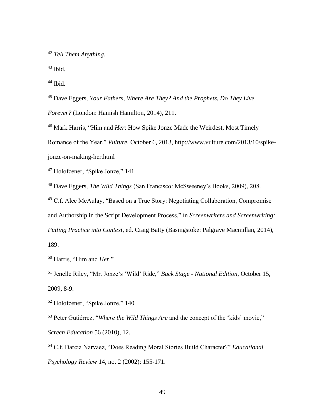<sup>42</sup> *Tell Them Anything*.

 $43$  Ibid.

a<br>B

<sup>44</sup> Ibid.

<sup>45</sup> Dave Eggers, *Your Fathers, Where Are They? And the Prophets, Do They Live Forever?* (London: Hamish Hamilton, 2014), 211.

<sup>46</sup> Mark Harris, "Him and *Her*: How Spike Jonze Made the Weirdest, Most Timely Romance of the Year," *Vulture*, October 6, 2013, http://www.vulture.com/2013/10/spikejonze-on-making-her.html

<sup>47</sup> Holofcener, "Spike Jonze," 141.

<sup>48</sup> Dave Eggers, *The Wild Things* (San Francisco: McSweeney's Books, 2009), 208.

<sup>49</sup> C.f. Alec McAulay, "Based on a True Story: Negotiating Collaboration, Compromise and Authorship in the Script Development Process," in *Screenwriters and Screenwriting: Putting Practice into Context*, ed. Craig Batty (Basingstoke: Palgrave Macmillan, 2014), 189.

<sup>50</sup> Harris, "Him and *Her*."

<sup>51</sup> Jenelle Riley, "Mr. Jonze's 'Wild' Ride," *Back Stage - National Edition*, October 15, 2009, 8-9.

<sup>52</sup> Holofcener, "Spike Jonze," 140.

<sup>53</sup> Peter Gutiérrez, "*Where the Wild Things Are* and the concept of the 'kids' movie," *Screen Education* 56 (2010), 12.

<sup>54</sup> C.f. Darcia Narvaez, "Does Reading Moral Stories Build Character?" *Educational Psychology Review* 14, no. 2 (2002): 155-171.